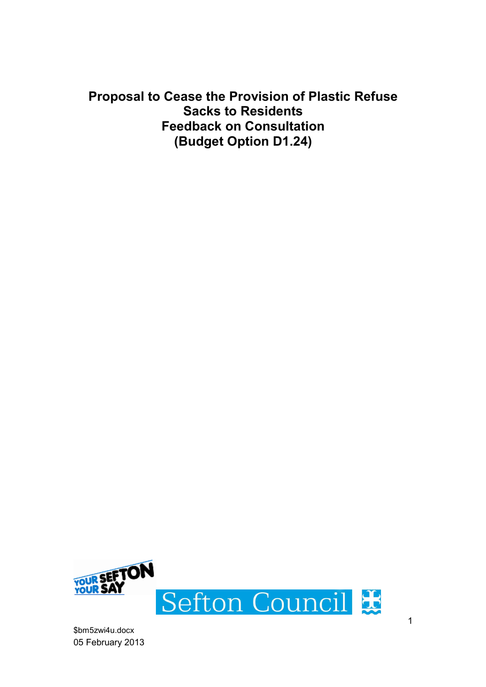Proposal to Cease the Provision of Plastic Refuse Sacks to Residents Feedback on Consultation (Budget Option D1.24)

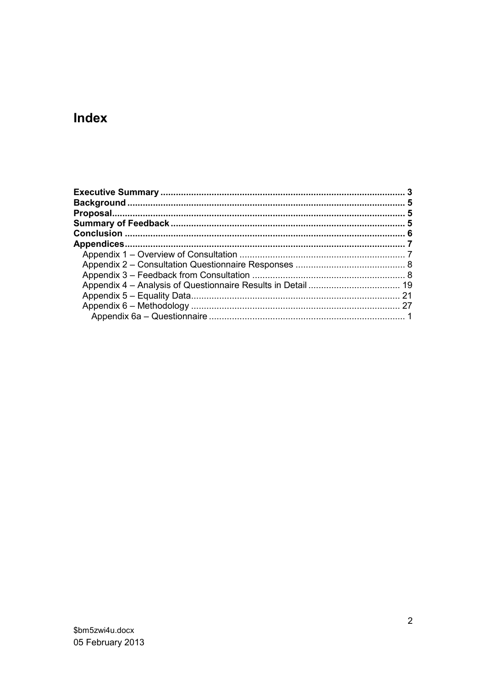# Index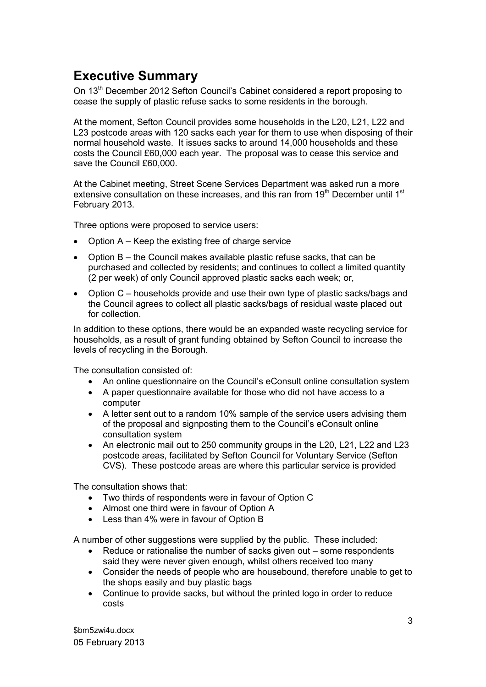# Executive Summary

On 13<sup>th</sup> December 2012 Sefton Council's Cabinet considered a report proposing to cease the supply of plastic refuse sacks to some residents in the borough.

At the moment, Sefton Council provides some households in the L20, L21, L22 and L23 postcode areas with 120 sacks each year for them to use when disposing of their normal household waste. It issues sacks to around 14,000 households and these costs the Council £60,000 each year. The proposal was to cease this service and save the Council £60,000.

At the Cabinet meeting, Street Scene Services Department was asked run a more extensive consultation on these increases, and this ran from  $19<sup>th</sup>$  December until 1<sup>st</sup> February 2013.

Three options were proposed to service users:

- Option A Keep the existing free of charge service
- Option B the Council makes available plastic refuse sacks, that can be purchased and collected by residents; and continues to collect a limited quantity (2 per week) of only Council approved plastic sacks each week; or,
- Option C households provide and use their own type of plastic sacks/bags and the Council agrees to collect all plastic sacks/bags of residual waste placed out for collection.

In addition to these options, there would be an expanded waste recycling service for households, as a result of grant funding obtained by Sefton Council to increase the levels of recycling in the Borough.

The consultation consisted of:

- An online questionnaire on the Council's eConsult online consultation system
- A paper questionnaire available for those who did not have access to a computer
- A letter sent out to a random 10% sample of the service users advising them of the proposal and signposting them to the Council's eConsult online consultation system
- An electronic mail out to 250 community groups in the L20, L21, L22 and L23 postcode areas, facilitated by Sefton Council for Voluntary Service (Sefton CVS). These postcode areas are where this particular service is provided

The consultation shows that:

- Two thirds of respondents were in favour of Option C
- Almost one third were in favour of Option A
- Less than 4% were in favour of Option B

A number of other suggestions were supplied by the public. These included:

- Reduce or rationalise the number of sacks given out some respondents said they were never given enough, whilst others received too many
- Consider the needs of people who are housebound, therefore unable to get to the shops easily and buy plastic bags
- Continue to provide sacks, but without the printed logo in order to reduce costs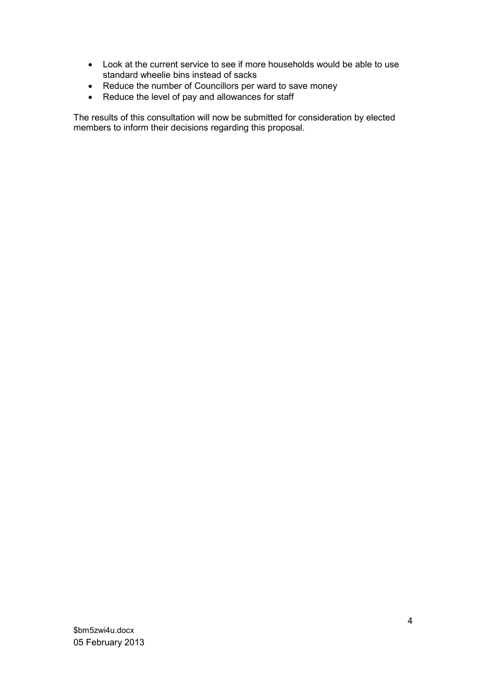- Look at the current service to see if more households would be able to use standard wheelie bins instead of sacks
- Reduce the number of Councillors per ward to save money
- Reduce the level of pay and allowances for staff

The results of this consultation will now be submitted for consideration by elected members to inform their decisions regarding this proposal.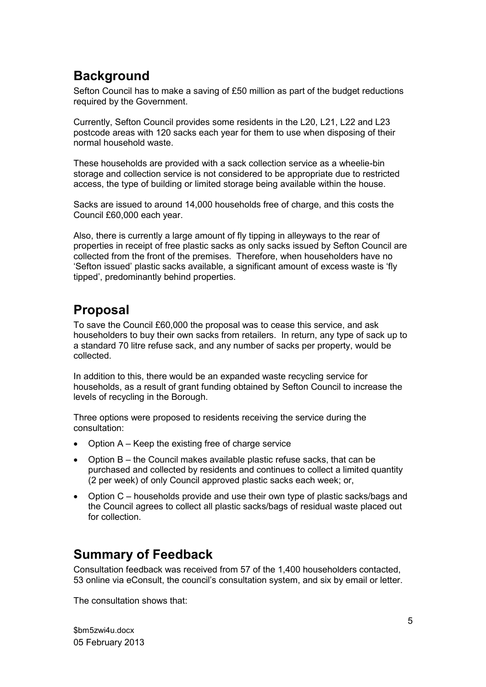# **Background**

Sefton Council has to make a saving of £50 million as part of the budget reductions required by the Government.

Currently, Sefton Council provides some residents in the L20, L21, L22 and L23 postcode areas with 120 sacks each year for them to use when disposing of their normal household waste.

These households are provided with a sack collection service as a wheelie-bin storage and collection service is not considered to be appropriate due to restricted access, the type of building or limited storage being available within the house.

Sacks are issued to around 14,000 households free of charge, and this costs the Council £60,000 each year.

Also, there is currently a large amount of fly tipping in alleyways to the rear of properties in receipt of free plastic sacks as only sacks issued by Sefton Council are collected from the front of the premises. Therefore, when householders have no 'Sefton issued' plastic sacks available, a significant amount of excess waste is 'fly tipped', predominantly behind properties.

# Proposal

To save the Council £60,000 the proposal was to cease this service, and ask householders to buy their own sacks from retailers. In return, any type of sack up to a standard 70 litre refuse sack, and any number of sacks per property, would be collected.

In addition to this, there would be an expanded waste recycling service for households, as a result of grant funding obtained by Sefton Council to increase the levels of recycling in the Borough.

Three options were proposed to residents receiving the service during the consultation:

- Option A Keep the existing free of charge service
- Option B the Council makes available plastic refuse sacks, that can be purchased and collected by residents and continues to collect a limited quantity (2 per week) of only Council approved plastic sacks each week; or,
- Option C households provide and use their own type of plastic sacks/bags and the Council agrees to collect all plastic sacks/bags of residual waste placed out for collection.

## Summary of Feedback

Consultation feedback was received from 57 of the 1,400 householders contacted, 53 online via eConsult, the council's consultation system, and six by email or letter.

The consultation shows that: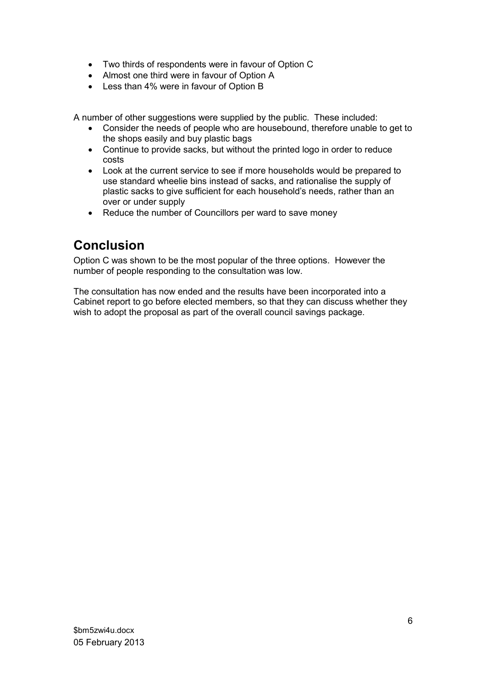- Two thirds of respondents were in favour of Option C
- Almost one third were in favour of Option A
- Less than 4% were in favour of Option B

A number of other suggestions were supplied by the public. These included:

- Consider the needs of people who are housebound, therefore unable to get to the shops easily and buy plastic bags
- Continue to provide sacks, but without the printed logo in order to reduce costs
- Look at the current service to see if more households would be prepared to use standard wheelie bins instead of sacks, and rationalise the supply of plastic sacks to give sufficient for each household's needs, rather than an over or under supply
- Reduce the number of Councillors per ward to save money

# Conclusion

Option C was shown to be the most popular of the three options. However the number of people responding to the consultation was low.

The consultation has now ended and the results have been incorporated into a Cabinet report to go before elected members, so that they can discuss whether they wish to adopt the proposal as part of the overall council savings package.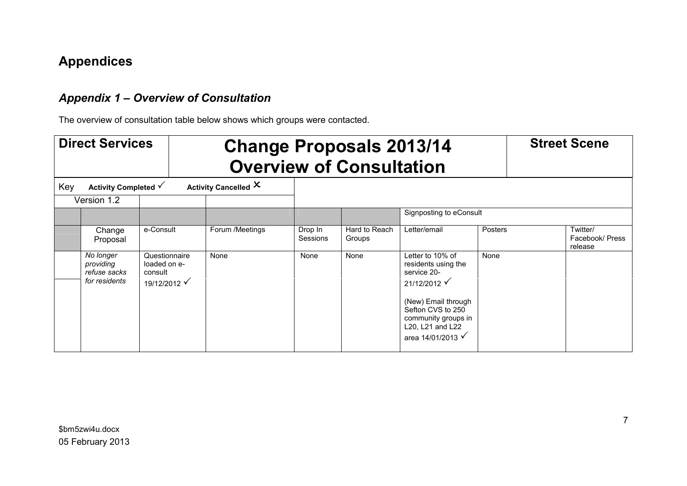# Appendices

## Appendix 1 – Overview of Consultation

The overview of consultation table below shows which groups were contacted.

|     | <b>Direct Services</b>                                  |                                                          |                      |                     | <b>Change Proposals 2013/14</b><br><b>Overview of Consultation</b> |                                                                                                                                                             |         | <b>Street Scene</b>                    |
|-----|---------------------------------------------------------|----------------------------------------------------------|----------------------|---------------------|--------------------------------------------------------------------|-------------------------------------------------------------------------------------------------------------------------------------------------------------|---------|----------------------------------------|
| Key | Activity Completed √                                    |                                                          | Activity Cancelled X |                     |                                                                    |                                                                                                                                                             |         |                                        |
|     | Version 1.2                                             |                                                          |                      |                     |                                                                    |                                                                                                                                                             |         |                                        |
|     |                                                         |                                                          |                      |                     |                                                                    | Signposting to eConsult                                                                                                                                     |         |                                        |
|     | Change<br>Proposal                                      | e-Consult                                                | Forum /Meetings      | Drop In<br>Sessions | Hard to Reach<br>Groups                                            | Letter/email                                                                                                                                                | Posters | Twitter/<br>Facebook/ Press<br>release |
|     | No longer<br>providing<br>refuse sacks<br>for residents | Questionnaire<br>loaded on e-<br>consult<br>19/12/2012 √ | None                 | None                | None                                                               | Letter to 10% of<br>residents using the<br>service 20-<br>21/12/2012<br>(New) Email through<br>Sefton CVS to 250<br>community groups in<br>L20, L21 and L22 | None    |                                        |
|     |                                                         |                                                          |                      |                     |                                                                    | area 14/01/2013 √                                                                                                                                           |         |                                        |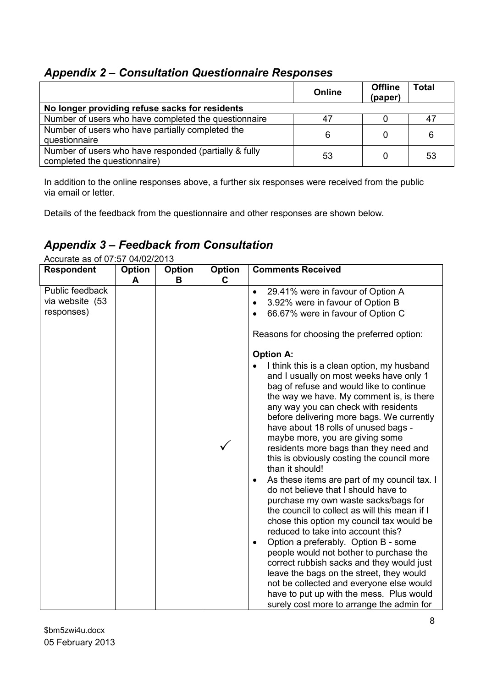## Appendix 2 – Consultation Questionnaire Responses

|                                                       | Online | <b>Offline</b><br>(paper) | <b>Total</b> |
|-------------------------------------------------------|--------|---------------------------|--------------|
| No longer providing refuse sacks for residents        |        |                           |              |
| Number of users who have completed the questionnaire  | 47     |                           | 47           |
| Number of users who have partially completed the      | 6      |                           | 6            |
| questionnaire                                         |        |                           |              |
| Number of users who have responded (partially & fully | 53     |                           | 53           |
| completed the questionnaire)                          |        |                           |              |

In addition to the online responses above, a further six responses were received from the public via email or letter.

Details of the feedback from the questionnaire and other responses are shown below.

## Appendix 3 – Feedback from Consultation

| Accurate as of or to be prozizent<br><b>Respondent</b> | Option | Option | <b>Option</b> | <b>Comments Received</b>                                                                                                                                                                                                                                                                                                                                                                                                                                                                                                                                                                                                                                                                                                                                                                                                                                                                                                                                                                                                                                                                                                                                                                                                                  |
|--------------------------------------------------------|--------|--------|---------------|-------------------------------------------------------------------------------------------------------------------------------------------------------------------------------------------------------------------------------------------------------------------------------------------------------------------------------------------------------------------------------------------------------------------------------------------------------------------------------------------------------------------------------------------------------------------------------------------------------------------------------------------------------------------------------------------------------------------------------------------------------------------------------------------------------------------------------------------------------------------------------------------------------------------------------------------------------------------------------------------------------------------------------------------------------------------------------------------------------------------------------------------------------------------------------------------------------------------------------------------|
|                                                        | A      | в      | C             |                                                                                                                                                                                                                                                                                                                                                                                                                                                                                                                                                                                                                                                                                                                                                                                                                                                                                                                                                                                                                                                                                                                                                                                                                                           |
| Public feedback<br>via website (53<br>responses)       |        |        |               | 29.41% were in favour of Option A<br>$\bullet$<br>3.92% were in favour of Option B<br>٠<br>66.67% were in favour of Option C<br>$\bullet$<br>Reasons for choosing the preferred option:<br><b>Option A:</b><br>I think this is a clean option, my husband<br>and I usually on most weeks have only 1<br>bag of refuse and would like to continue<br>the way we have. My comment is, is there<br>any way you can check with residents<br>before delivering more bags. We currently<br>have about 18 rolls of unused bags -<br>maybe more, you are giving some<br>residents more bags than they need and<br>this is obviously costing the council more<br>than it should!<br>As these items are part of my council tax. I<br>$\bullet$<br>do not believe that I should have to<br>purchase my own waste sacks/bags for<br>the council to collect as will this mean if I<br>chose this option my council tax would be<br>reduced to take into account this?<br>Option a preferably. Option B - some<br>$\bullet$<br>people would not bother to purchase the<br>correct rubbish sacks and they would just<br>leave the bags on the street, they would<br>not be collected and everyone else would<br>have to put up with the mess. Plus would |
|                                                        |        |        |               | surely cost more to arrange the admin for                                                                                                                                                                                                                                                                                                                                                                                                                                                                                                                                                                                                                                                                                                                                                                                                                                                                                                                                                                                                                                                                                                                                                                                                 |

Accurate as of 07:57 04/02/2013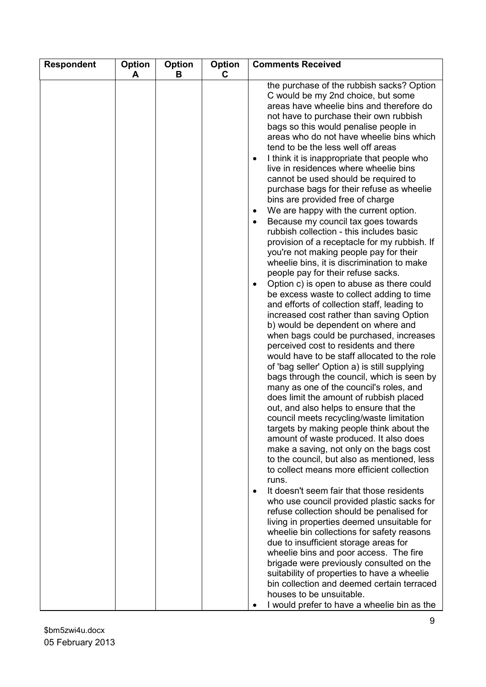| <b>Respondent</b> | <b>Option</b><br>A | <b>Option</b><br>В | Option<br>C | <b>Comments Received</b>                                                                                                                                                                                                                                                                                                                                                                                                                                                                                                                                                                                                                                                                                                                                                                                                                                                                                                                                                                                                                                                                                                                                                                                                                                                                                                                                                                                                                                                                                                                                                                                                                                                                                                                                                                                                                                                                                                                                                                                                                                                                                                                                                                                                                                                          |
|-------------------|--------------------|--------------------|-------------|-----------------------------------------------------------------------------------------------------------------------------------------------------------------------------------------------------------------------------------------------------------------------------------------------------------------------------------------------------------------------------------------------------------------------------------------------------------------------------------------------------------------------------------------------------------------------------------------------------------------------------------------------------------------------------------------------------------------------------------------------------------------------------------------------------------------------------------------------------------------------------------------------------------------------------------------------------------------------------------------------------------------------------------------------------------------------------------------------------------------------------------------------------------------------------------------------------------------------------------------------------------------------------------------------------------------------------------------------------------------------------------------------------------------------------------------------------------------------------------------------------------------------------------------------------------------------------------------------------------------------------------------------------------------------------------------------------------------------------------------------------------------------------------------------------------------------------------------------------------------------------------------------------------------------------------------------------------------------------------------------------------------------------------------------------------------------------------------------------------------------------------------------------------------------------------------------------------------------------------------------------------------------------------|
|                   |                    |                    |             | the purchase of the rubbish sacks? Option<br>C would be my 2nd choice, but some<br>areas have wheelie bins and therefore do<br>not have to purchase their own rubbish<br>bags so this would penalise people in<br>areas who do not have wheelie bins which<br>tend to be the less well off areas<br>I think it is inappropriate that people who<br>live in residences where wheelie bins<br>cannot be used should be required to<br>purchase bags for their refuse as wheelie<br>bins are provided free of charge<br>We are happy with the current option.<br>$\bullet$<br>Because my council tax goes towards<br>rubbish collection - this includes basic<br>provision of a receptacle for my rubbish. If<br>you're not making people pay for their<br>wheelie bins, it is discrimination to make<br>people pay for their refuse sacks.<br>Option c) is open to abuse as there could<br>be excess waste to collect adding to time<br>and efforts of collection staff, leading to<br>increased cost rather than saving Option<br>b) would be dependent on where and<br>when bags could be purchased, increases<br>perceived cost to residents and there<br>would have to be staff allocated to the role<br>of 'bag seller' Option a) is still supplying<br>bags through the council, which is seen by<br>many as one of the council's roles, and<br>does limit the amount of rubbish placed<br>out, and also helps to ensure that the<br>council meets recycling/waste limitation<br>targets by making people think about the<br>amount of waste produced. It also does<br>make a saving, not only on the bags cost<br>to the council, but also as mentioned, less<br>to collect means more efficient collection<br>runs.<br>It doesn't seem fair that those residents<br>$\bullet$<br>who use council provided plastic sacks for<br>refuse collection should be penalised for<br>living in properties deemed unsuitable for<br>wheelie bin collections for safety reasons<br>due to insufficient storage areas for<br>wheelie bins and poor access. The fire<br>brigade were previously consulted on the<br>suitability of properties to have a wheelie<br>bin collection and deemed certain terraced<br>houses to be unsuitable.<br>I would prefer to have a wheelie bin as the |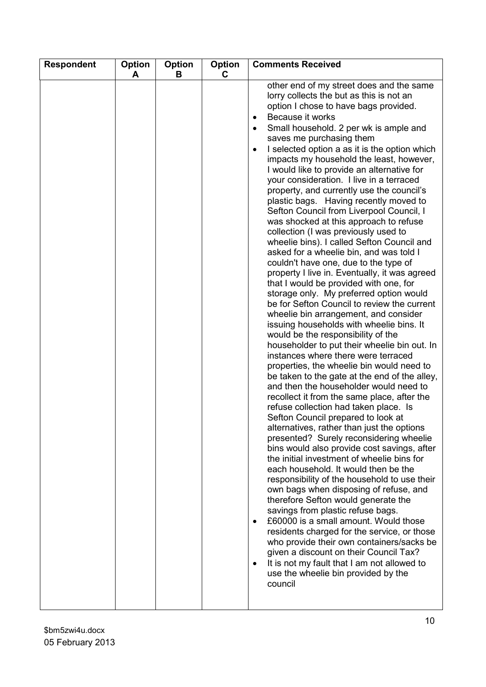| <b>Respondent</b> | Option<br>A | Option<br>В | <b>Option</b><br>C. | <b>Comments Received</b>                                                                                                                                                                                                                                                                                                                                                                                                                                                                                                                                                                                                                                                                                                                                                                                                                                                                                                                                                                                                                                                                                                                                                                                                                                                                                                                                                                                                                                                                                                                                                                                                                                                                                                                                                                                                                                                                                                                                                                                                                                                                                                                            |
|-------------------|-------------|-------------|---------------------|-----------------------------------------------------------------------------------------------------------------------------------------------------------------------------------------------------------------------------------------------------------------------------------------------------------------------------------------------------------------------------------------------------------------------------------------------------------------------------------------------------------------------------------------------------------------------------------------------------------------------------------------------------------------------------------------------------------------------------------------------------------------------------------------------------------------------------------------------------------------------------------------------------------------------------------------------------------------------------------------------------------------------------------------------------------------------------------------------------------------------------------------------------------------------------------------------------------------------------------------------------------------------------------------------------------------------------------------------------------------------------------------------------------------------------------------------------------------------------------------------------------------------------------------------------------------------------------------------------------------------------------------------------------------------------------------------------------------------------------------------------------------------------------------------------------------------------------------------------------------------------------------------------------------------------------------------------------------------------------------------------------------------------------------------------------------------------------------------------------------------------------------------------|
|                   |             |             |                     | other end of my street does and the same<br>lorry collects the but as this is not an<br>option I chose to have bags provided.<br>Because it works<br>$\bullet$<br>Small household. 2 per wk is ample and<br>saves me purchasing them<br>I selected option a as it is the option which<br>impacts my household the least, however,<br>I would like to provide an alternative for<br>your consideration. I live in a terraced<br>property, and currently use the council's<br>plastic bags. Having recently moved to<br>Sefton Council from Liverpool Council, I<br>was shocked at this approach to refuse<br>collection (I was previously used to<br>wheelie bins). I called Sefton Council and<br>asked for a wheelie bin, and was told I<br>couldn't have one, due to the type of<br>property I live in. Eventually, it was agreed<br>that I would be provided with one, for<br>storage only. My preferred option would<br>be for Sefton Council to review the current<br>wheelie bin arrangement, and consider<br>issuing households with wheelie bins. It<br>would be the responsibility of the<br>householder to put their wheelie bin out. In<br>instances where there were terraced<br>properties, the wheelie bin would need to<br>be taken to the gate at the end of the alley,<br>and then the householder would need to<br>recollect it from the same place, after the<br>refuse collection had taken place. Is<br>Sefton Council prepared to look at<br>alternatives, rather than just the options<br>presented? Surely reconsidering wheelie<br>bins would also provide cost savings, after<br>the initial investment of wheelie bins for<br>each household. It would then be the<br>responsibility of the household to use their<br>own bags when disposing of refuse, and<br>therefore Sefton would generate the<br>savings from plastic refuse bags.<br>£60000 is a small amount. Would those<br>residents charged for the service, or those<br>who provide their own containers/sacks be<br>given a discount on their Council Tax?<br>It is not my fault that I am not allowed to<br>use the wheelie bin provided by the<br>council |

 $\mathbf{I}$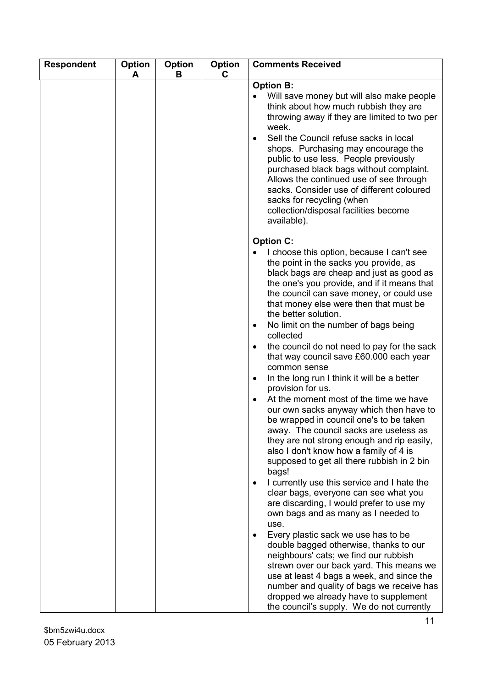| <b>Respondent</b> | Option<br>A | Option<br>в | <b>Option</b><br>C | <b>Comments Received</b>                                                                                                                                                                                                                                                                                                                                                                                                                                                                                                                                                                                   |
|-------------------|-------------|-------------|--------------------|------------------------------------------------------------------------------------------------------------------------------------------------------------------------------------------------------------------------------------------------------------------------------------------------------------------------------------------------------------------------------------------------------------------------------------------------------------------------------------------------------------------------------------------------------------------------------------------------------------|
|                   |             |             |                    | <b>Option B:</b>                                                                                                                                                                                                                                                                                                                                                                                                                                                                                                                                                                                           |
|                   |             |             |                    | Will save money but will also make people<br>think about how much rubbish they are<br>throwing away if they are limited to two per<br>week.<br>Sell the Council refuse sacks in local                                                                                                                                                                                                                                                                                                                                                                                                                      |
|                   |             |             |                    | shops. Purchasing may encourage the<br>public to use less. People previously<br>purchased black bags without complaint.<br>Allows the continued use of see through<br>sacks. Consider use of different coloured<br>sacks for recycling (when<br>collection/disposal facilities become<br>available).                                                                                                                                                                                                                                                                                                       |
|                   |             |             |                    |                                                                                                                                                                                                                                                                                                                                                                                                                                                                                                                                                                                                            |
|                   |             |             |                    | <b>Option C:</b><br>I choose this option, because I can't see<br>the point in the sacks you provide, as<br>black bags are cheap and just as good as<br>the one's you provide, and if it means that<br>the council can save money, or could use<br>that money else were then that must be<br>the better solution.<br>No limit on the number of bags being<br>collected<br>the council do not need to pay for the sack<br>that way council save £60.000 each year<br>common sense<br>In the long run I think it will be a better<br>$\bullet$<br>provision for us.<br>At the moment most of the time we have |
|                   |             |             |                    | our own sacks anyway which then have to<br>be wrapped in council one's to be taken<br>away. The council sacks are useless as<br>they are not strong enough and rip easily,<br>also I don't know how a family of 4 is<br>supposed to get all there rubbish in 2 bin<br>bags!<br>I currently use this service and I hate the<br>clear bags, everyone can see what you                                                                                                                                                                                                                                        |
|                   |             |             |                    | are discarding, I would prefer to use my<br>own bags and as many as I needed to<br>use.<br>Every plastic sack we use has to be<br>double bagged otherwise, thanks to our                                                                                                                                                                                                                                                                                                                                                                                                                                   |
|                   |             |             |                    | neighbours' cats; we find our rubbish<br>strewn over our back yard. This means we<br>use at least 4 bags a week, and since the<br>number and quality of bags we receive has<br>dropped we already have to supplement<br>the council's supply. We do not currently                                                                                                                                                                                                                                                                                                                                          |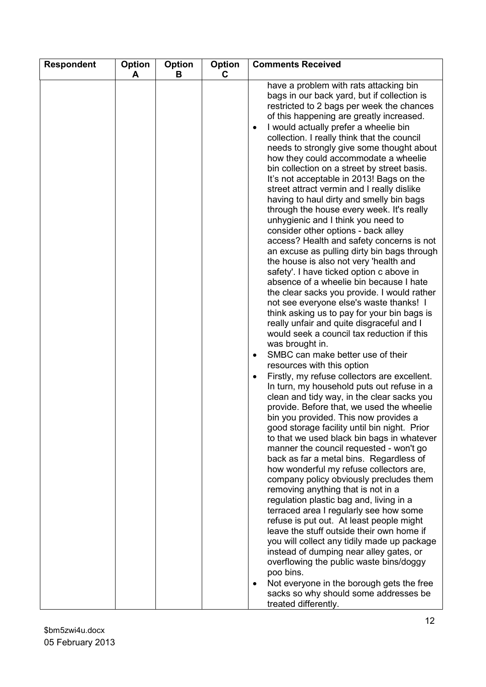| <b>Comments Received</b><br><b>Respondent</b><br><b>Option</b><br><b>Option</b><br><b>Option</b><br>C<br>A<br>в                                                                                                                                                                                                                                                                                                                                                                                                                                                                                                                                                                                                                                                                                                                                                                                                                                                                                                                                                                                                                                                                                                                                                                                                                                                                                                                                                                                                                                                                                                                                                                                                                                                                                                                                                                                                                                                                                                                                                                                                                                                  |  |
|------------------------------------------------------------------------------------------------------------------------------------------------------------------------------------------------------------------------------------------------------------------------------------------------------------------------------------------------------------------------------------------------------------------------------------------------------------------------------------------------------------------------------------------------------------------------------------------------------------------------------------------------------------------------------------------------------------------------------------------------------------------------------------------------------------------------------------------------------------------------------------------------------------------------------------------------------------------------------------------------------------------------------------------------------------------------------------------------------------------------------------------------------------------------------------------------------------------------------------------------------------------------------------------------------------------------------------------------------------------------------------------------------------------------------------------------------------------------------------------------------------------------------------------------------------------------------------------------------------------------------------------------------------------------------------------------------------------------------------------------------------------------------------------------------------------------------------------------------------------------------------------------------------------------------------------------------------------------------------------------------------------------------------------------------------------------------------------------------------------------------------------------------------------|--|
| have a problem with rats attacking bin<br>bags in our back yard, but if collection is<br>restricted to 2 bags per week the chances<br>of this happening are greatly increased.<br>I would actually prefer a wheelie bin<br>collection. I really think that the council<br>needs to strongly give some thought about<br>how they could accommodate a wheelie<br>bin collection on a street by street basis.<br>It's not acceptable in 2013! Bags on the<br>street attract vermin and I really dislike<br>having to haul dirty and smelly bin bags<br>through the house every week. It's really<br>unhygienic and I think you need to<br>consider other options - back alley<br>access? Health and safety concerns is not<br>an excuse as pulling dirty bin bags through<br>the house is also not very 'health and<br>safety'. I have ticked option c above in<br>absence of a wheelie bin because I hate<br>the clear sacks you provide. I would rather<br>not see everyone else's waste thanks! I<br>think asking us to pay for your bin bags is<br>really unfair and quite disgraceful and I<br>would seek a council tax reduction if this<br>was brought in.<br>SMBC can make better use of their<br>resources with this option<br>Firstly, my refuse collectors are excellent.<br>In turn, my household puts out refuse in a<br>clean and tidy way, in the clear sacks you<br>provide. Before that, we used the wheelie<br>bin you provided. This now provides a<br>good storage facility until bin night. Prior<br>to that we used black bin bags in whatever<br>manner the council requested - won't go<br>back as far a metal bins. Regardless of<br>how wonderful my refuse collectors are,<br>company policy obviously precludes them<br>removing anything that is not in a<br>regulation plastic bag and, living in a<br>terraced area I regularly see how some<br>refuse is put out. At least people might<br>leave the stuff outside their own home if<br>you will collect any tidily made up package<br>instead of dumping near alley gates, or<br>overflowing the public waste bins/doggy<br>poo bins.<br>Not everyone in the borough gets the free |  |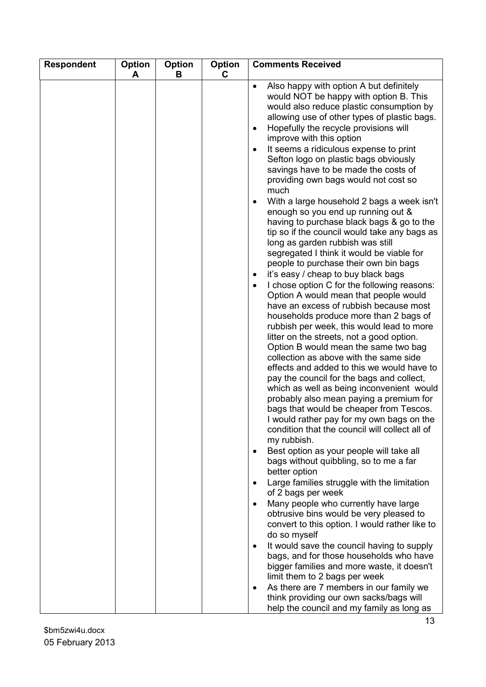| <b>Respondent</b> | Option | <b>Option</b> | Option | <b>Comments Received</b>                                                                                                                                                                                                                                                                                                                                                                                                                                                                                                                                                                                                                                                                                                                                                                                                                                                                                                                                                                                                                                                                                                                                                                                                                                                                                                                                                                                                                                                                                                                                                                                                                                                                                                                                                                                                                                                                     |
|-------------------|--------|---------------|--------|----------------------------------------------------------------------------------------------------------------------------------------------------------------------------------------------------------------------------------------------------------------------------------------------------------------------------------------------------------------------------------------------------------------------------------------------------------------------------------------------------------------------------------------------------------------------------------------------------------------------------------------------------------------------------------------------------------------------------------------------------------------------------------------------------------------------------------------------------------------------------------------------------------------------------------------------------------------------------------------------------------------------------------------------------------------------------------------------------------------------------------------------------------------------------------------------------------------------------------------------------------------------------------------------------------------------------------------------------------------------------------------------------------------------------------------------------------------------------------------------------------------------------------------------------------------------------------------------------------------------------------------------------------------------------------------------------------------------------------------------------------------------------------------------------------------------------------------------------------------------------------------------|
|                   | A      | В             | C.     | Also happy with option A but definitely<br>$\bullet$<br>would NOT be happy with option B. This<br>would also reduce plastic consumption by<br>allowing use of other types of plastic bags.<br>Hopefully the recycle provisions will<br>improve with this option<br>It seems a ridiculous expense to print<br>Sefton logo on plastic bags obviously<br>savings have to be made the costs of<br>providing own bags would not cost so<br>much<br>With a large household 2 bags a week isn't<br>enough so you end up running out &<br>having to purchase black bags & go to the<br>tip so if the council would take any bags as<br>long as garden rubbish was still<br>segregated I think it would be viable for<br>people to purchase their own bin bags<br>it's easy / cheap to buy black bags<br>I chose option C for the following reasons:<br>$\bullet$<br>Option A would mean that people would<br>have an excess of rubbish because most<br>households produce more than 2 bags of<br>rubbish per week, this would lead to more<br>litter on the streets, not a good option.<br>Option B would mean the same two bag<br>collection as above with the same side<br>effects and added to this we would have to<br>pay the council for the bags and collect,<br>which as well as being inconvenient would<br>probably also mean paying a premium for<br>bags that would be cheaper from Tescos.<br>I would rather pay for my own bags on the<br>condition that the council will collect all of<br>my rubbish.<br>Best option as your people will take all<br>bags without quibbling, so to me a far<br>better option<br>Large families struggle with the limitation<br>of 2 bags per week<br>Many people who currently have large<br>obtrusive bins would be very pleased to<br>convert to this option. I would rather like to<br>do so myself<br>It would save the council having to supply |
|                   |        |               |        | bags, and for those households who have<br>bigger families and more waste, it doesn't<br>limit them to 2 bags per week<br>As there are 7 members in our family we<br>think providing our own sacks/bags will                                                                                                                                                                                                                                                                                                                                                                                                                                                                                                                                                                                                                                                                                                                                                                                                                                                                                                                                                                                                                                                                                                                                                                                                                                                                                                                                                                                                                                                                                                                                                                                                                                                                                 |
|                   |        |               |        | help the council and my family as long as                                                                                                                                                                                                                                                                                                                                                                                                                                                                                                                                                                                                                                                                                                                                                                                                                                                                                                                                                                                                                                                                                                                                                                                                                                                                                                                                                                                                                                                                                                                                                                                                                                                                                                                                                                                                                                                    |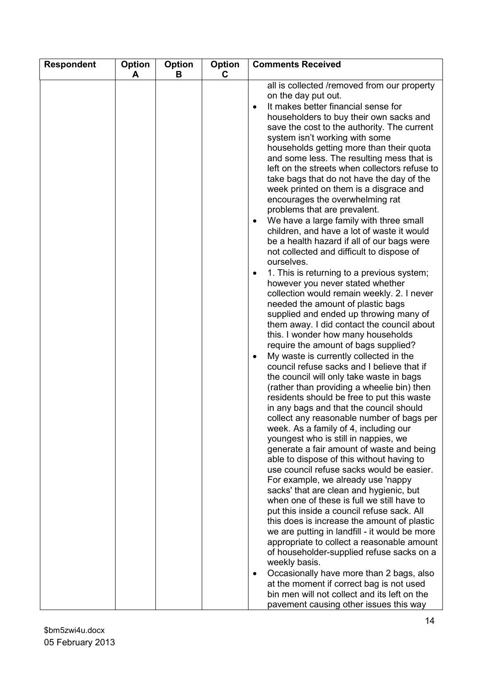| <b>Respondent</b> | Option<br>A | <b>Option</b><br>B | <b>Option</b><br>C | <b>Comments Received</b>                                                                                                                                                                                                                                                                                                                                                                                                                                                                                                                                                                                                                                                                                                                                                                                                                                                                                                                                                                                                                                                                                                                                                                                                                                                                                                                                                                                                                                                                                                                                                                                                                                                                                                                                                                                                                                                                                                                                                                                                                                                                                                                  |
|-------------------|-------------|--------------------|--------------------|-------------------------------------------------------------------------------------------------------------------------------------------------------------------------------------------------------------------------------------------------------------------------------------------------------------------------------------------------------------------------------------------------------------------------------------------------------------------------------------------------------------------------------------------------------------------------------------------------------------------------------------------------------------------------------------------------------------------------------------------------------------------------------------------------------------------------------------------------------------------------------------------------------------------------------------------------------------------------------------------------------------------------------------------------------------------------------------------------------------------------------------------------------------------------------------------------------------------------------------------------------------------------------------------------------------------------------------------------------------------------------------------------------------------------------------------------------------------------------------------------------------------------------------------------------------------------------------------------------------------------------------------------------------------------------------------------------------------------------------------------------------------------------------------------------------------------------------------------------------------------------------------------------------------------------------------------------------------------------------------------------------------------------------------------------------------------------------------------------------------------------------------|
|                   |             |                    |                    | all is collected /removed from our property<br>on the day put out.<br>It makes better financial sense for<br>householders to buy their own sacks and<br>save the cost to the authority. The current<br>system isn't working with some<br>households getting more than their quota<br>and some less. The resulting mess that is<br>left on the streets when collectors refuse to<br>take bags that do not have the day of the<br>week printed on them is a disgrace and<br>encourages the overwhelming rat<br>problems that are prevalent.<br>We have a large family with three small<br>$\bullet$<br>children, and have a lot of waste it would<br>be a health hazard if all of our bags were<br>not collected and difficult to dispose of<br>ourselves.<br>1. This is returning to a previous system;<br>٠<br>however you never stated whether<br>collection would remain weekly. 2. I never<br>needed the amount of plastic bags<br>supplied and ended up throwing many of<br>them away. I did contact the council about<br>this. I wonder how many households<br>require the amount of bags supplied?<br>My waste is currently collected in the<br>council refuse sacks and I believe that if<br>the council will only take waste in bags<br>(rather than providing a wheelie bin) then<br>residents should be free to put this waste<br>in any bags and that the council should<br>collect any reasonable number of bags per<br>week. As a family of 4, including our<br>youngest who is still in nappies, we<br>generate a fair amount of waste and being<br>able to dispose of this without having to<br>use council refuse sacks would be easier.<br>For example, we already use 'nappy<br>sacks' that are clean and hygienic, but<br>when one of these is full we still have to<br>put this inside a council refuse sack. All<br>this does is increase the amount of plastic<br>we are putting in landfill - it would be more<br>appropriate to collect a reasonable amount<br>of householder-supplied refuse sacks on a<br>weekly basis.<br>Occasionally have more than 2 bags, also<br>at the moment if correct bag is not used |
|                   |             |                    |                    | bin men will not collect and its left on the<br>pavement causing other issues this way                                                                                                                                                                                                                                                                                                                                                                                                                                                                                                                                                                                                                                                                                                                                                                                                                                                                                                                                                                                                                                                                                                                                                                                                                                                                                                                                                                                                                                                                                                                                                                                                                                                                                                                                                                                                                                                                                                                                                                                                                                                    |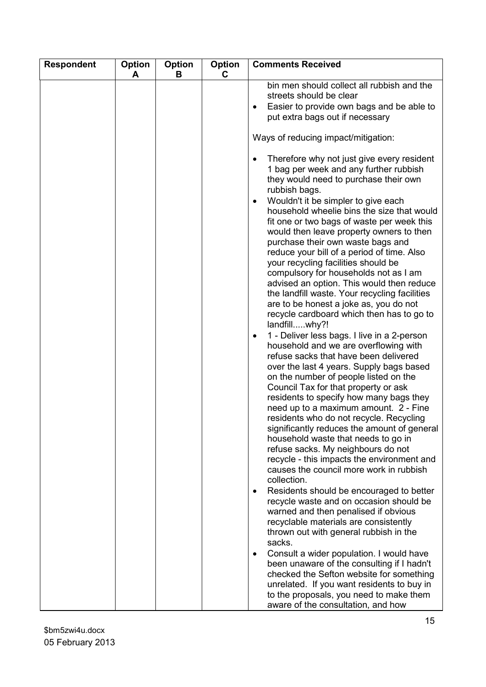| <b>Respondent</b> | Option<br>A | Option<br>B | <b>Option</b><br>C. | <b>Comments Received</b>                                                                                                                                                                                                                                                                                                                                                                                                                                                                                                                                                                                                                                                                                            |
|-------------------|-------------|-------------|---------------------|---------------------------------------------------------------------------------------------------------------------------------------------------------------------------------------------------------------------------------------------------------------------------------------------------------------------------------------------------------------------------------------------------------------------------------------------------------------------------------------------------------------------------------------------------------------------------------------------------------------------------------------------------------------------------------------------------------------------|
|                   |             |             |                     | bin men should collect all rubbish and the<br>streets should be clear<br>Easier to provide own bags and be able to<br>put extra bags out if necessary                                                                                                                                                                                                                                                                                                                                                                                                                                                                                                                                                               |
|                   |             |             |                     | Ways of reducing impact/mitigation:                                                                                                                                                                                                                                                                                                                                                                                                                                                                                                                                                                                                                                                                                 |
|                   |             |             |                     | Therefore why not just give every resident<br>1 bag per week and any further rubbish<br>they would need to purchase their own<br>rubbish bags.<br>Wouldn't it be simpler to give each<br>$\bullet$<br>household wheelie bins the size that would<br>fit one or two bags of waste per week this<br>would then leave property owners to then<br>purchase their own waste bags and<br>reduce your bill of a period of time. Also<br>your recycling facilities should be<br>compulsory for households not as I am<br>advised an option. This would then reduce<br>the landfill waste. Your recycling facilities<br>are to be honest a joke as, you do not<br>recycle cardboard which then has to go to<br>landfillwhy?! |
|                   |             |             |                     | 1 - Deliver less bags. I live in a 2-person<br>household and we are overflowing with<br>refuse sacks that have been delivered<br>over the last 4 years. Supply bags based<br>on the number of people listed on the<br>Council Tax for that property or ask<br>residents to specify how many bags they<br>need up to a maximum amount. 2 - Fine<br>residents who do not recycle. Recycling<br>significantly reduces the amount of general<br>household waste that needs to go in<br>refuse sacks. My neighbours do not<br>recycle - this impacts the environment and<br>causes the council more work in rubbish<br>collection.                                                                                       |
|                   |             |             |                     | Residents should be encouraged to better<br>$\bullet$<br>recycle waste and on occasion should be<br>warned and then penalised if obvious<br>recyclable materials are consistently<br>thrown out with general rubbish in the                                                                                                                                                                                                                                                                                                                                                                                                                                                                                         |
|                   |             |             |                     | sacks.<br>Consult a wider population. I would have<br>been unaware of the consulting if I hadn't<br>checked the Sefton website for something<br>unrelated. If you want residents to buy in<br>to the proposals, you need to make them<br>aware of the consultation, and how                                                                                                                                                                                                                                                                                                                                                                                                                                         |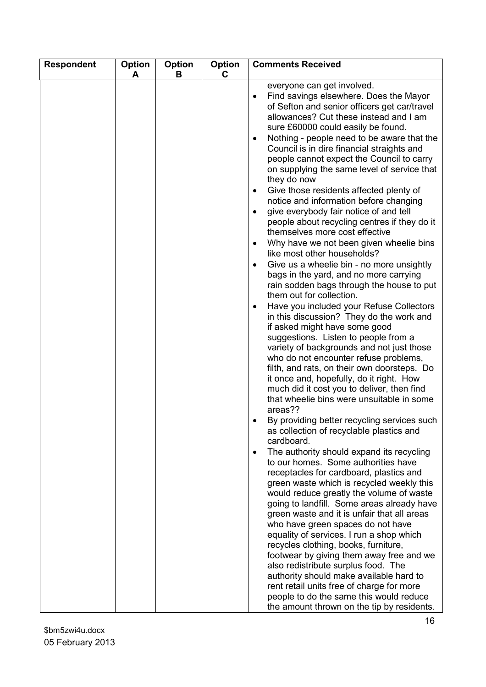| <b>Respondent</b> | Option<br>A | Option<br>В | <b>Option</b><br>C | <b>Comments Received</b>                                                                                                                                                                                                                                                                                                                                                                                                                                                                                                                                                                                                                                                                                                                                                                                                                                                                                                                                                                                                                                                                                                                                                                                                                                                                                                                                                                                                                                                                                                                                                                                                                                                                                                                                                                                                                                                                                                                                                                                                                                                                                                                                                                                                   |
|-------------------|-------------|-------------|--------------------|----------------------------------------------------------------------------------------------------------------------------------------------------------------------------------------------------------------------------------------------------------------------------------------------------------------------------------------------------------------------------------------------------------------------------------------------------------------------------------------------------------------------------------------------------------------------------------------------------------------------------------------------------------------------------------------------------------------------------------------------------------------------------------------------------------------------------------------------------------------------------------------------------------------------------------------------------------------------------------------------------------------------------------------------------------------------------------------------------------------------------------------------------------------------------------------------------------------------------------------------------------------------------------------------------------------------------------------------------------------------------------------------------------------------------------------------------------------------------------------------------------------------------------------------------------------------------------------------------------------------------------------------------------------------------------------------------------------------------------------------------------------------------------------------------------------------------------------------------------------------------------------------------------------------------------------------------------------------------------------------------------------------------------------------------------------------------------------------------------------------------------------------------------------------------------------------------------------------------|
|                   |             |             |                    | everyone can get involved.<br>Find savings elsewhere. Does the Mayor<br>of Sefton and senior officers get car/travel<br>allowances? Cut these instead and I am<br>sure £60000 could easily be found.<br>Nothing - people need to be aware that the<br>$\bullet$<br>Council is in dire financial straights and<br>people cannot expect the Council to carry<br>on supplying the same level of service that<br>they do now<br>Give those residents affected plenty of<br>$\bullet$<br>notice and information before changing<br>give everybody fair notice of and tell<br>$\bullet$<br>people about recycling centres if they do it<br>themselves more cost effective<br>Why have we not been given wheelie bins<br>like most other households?<br>Give us a wheelie bin - no more unsightly<br>$\bullet$<br>bags in the yard, and no more carrying<br>rain sodden bags through the house to put<br>them out for collection.<br>Have you included your Refuse Collectors<br>in this discussion? They do the work and<br>if asked might have some good<br>suggestions. Listen to people from a<br>variety of backgrounds and not just those<br>who do not encounter refuse problems,<br>filth, and rats, on their own doorsteps. Do<br>it once and, hopefully, do it right. How<br>much did it cost you to deliver, then find<br>that wheelie bins were unsuitable in some<br>areas??<br>By providing better recycling services such<br>as collection of recyclable plastics and<br>cardboard.<br>The authority should expand its recycling<br>$\bullet$<br>to our homes. Some authorities have<br>receptacles for cardboard, plastics and<br>green waste which is recycled weekly this<br>would reduce greatly the volume of waste<br>going to landfill. Some areas already have<br>green waste and it is unfair that all areas<br>who have green spaces do not have<br>equality of services. I run a shop which<br>recycles clothing, books, furniture,<br>footwear by giving them away free and we<br>also redistribute surplus food. The<br>authority should make available hard to<br>rent retail units free of charge for more<br>people to do the same this would reduce<br>the amount thrown on the tip by residents. |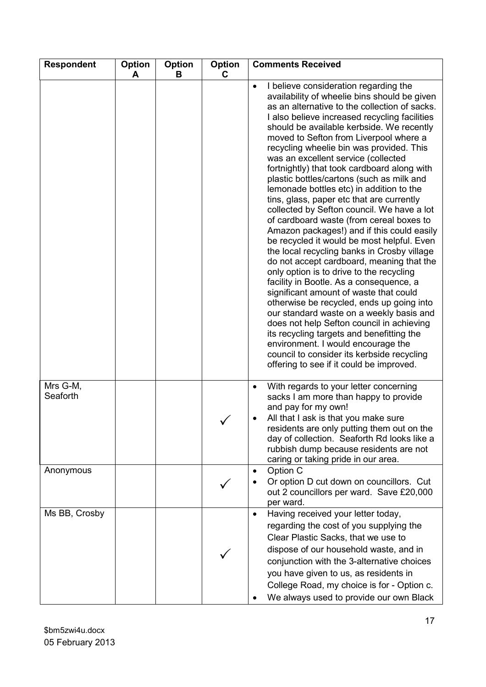| <b>Respondent</b>    | Option<br>A | Option<br>В | <b>Option</b><br>C | <b>Comments Received</b>                                                                                                                                                                                                                                                                                                                                                                                                                                                                                                                                                                                                                                                                                                                                                                                                                                                                                                                                                                                                                                                                                                                                                                                                                                                                     |
|----------------------|-------------|-------------|--------------------|----------------------------------------------------------------------------------------------------------------------------------------------------------------------------------------------------------------------------------------------------------------------------------------------------------------------------------------------------------------------------------------------------------------------------------------------------------------------------------------------------------------------------------------------------------------------------------------------------------------------------------------------------------------------------------------------------------------------------------------------------------------------------------------------------------------------------------------------------------------------------------------------------------------------------------------------------------------------------------------------------------------------------------------------------------------------------------------------------------------------------------------------------------------------------------------------------------------------------------------------------------------------------------------------|
|                      |             |             |                    | I believe consideration regarding the<br>availability of wheelie bins should be given<br>as an alternative to the collection of sacks.<br>I also believe increased recycling facilities<br>should be available kerbside. We recently<br>moved to Sefton from Liverpool where a<br>recycling wheelie bin was provided. This<br>was an excellent service (collected<br>fortnightly) that took cardboard along with<br>plastic bottles/cartons (such as milk and<br>lemonade bottles etc) in addition to the<br>tins, glass, paper etc that are currently<br>collected by Sefton council. We have a lot<br>of cardboard waste (from cereal boxes to<br>Amazon packages!) and if this could easily<br>be recycled it would be most helpful. Even<br>the local recycling banks in Crosby village<br>do not accept cardboard, meaning that the<br>only option is to drive to the recycling<br>facility in Bootle. As a consequence, a<br>significant amount of waste that could<br>otherwise be recycled, ends up going into<br>our standard waste on a weekly basis and<br>does not help Sefton council in achieving<br>its recycling targets and benefitting the<br>environment. I would encourage the<br>council to consider its kerbside recycling<br>offering to see if it could be improved. |
| Mrs G-M,<br>Seaforth |             |             |                    | With regards to your letter concerning<br>sacks I am more than happy to provide<br>and pay for my own!<br>All that I ask is that you make sure<br>residents are only putting them out on the<br>day of collection. Seaforth Rd looks like a<br>rubbish dump because residents are not<br>caring or taking pride in our area.                                                                                                                                                                                                                                                                                                                                                                                                                                                                                                                                                                                                                                                                                                                                                                                                                                                                                                                                                                 |
| Anonymous            |             |             |                    | Option C<br>Or option D cut down on councillors. Cut<br>out 2 councillors per ward. Save £20,000<br>per ward.                                                                                                                                                                                                                                                                                                                                                                                                                                                                                                                                                                                                                                                                                                                                                                                                                                                                                                                                                                                                                                                                                                                                                                                |
| Ms BB, Crosby        |             |             |                    | Having received your letter today,<br>$\bullet$<br>regarding the cost of you supplying the<br>Clear Plastic Sacks, that we use to<br>dispose of our household waste, and in<br>conjunction with the 3-alternative choices<br>you have given to us, as residents in<br>College Road, my choice is for - Option c.<br>We always used to provide our own Black                                                                                                                                                                                                                                                                                                                                                                                                                                                                                                                                                                                                                                                                                                                                                                                                                                                                                                                                  |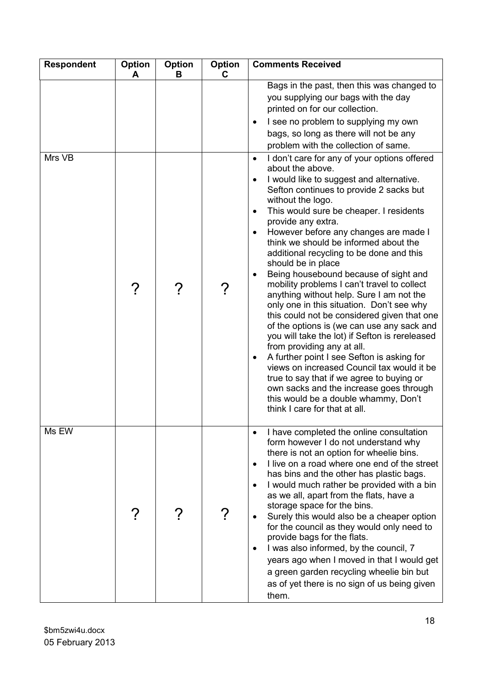| <b>Respondent</b> | Option<br>A | <b>Option</b><br>B | Option<br>C | <b>Comments Received</b>                                                                                                                                                                                                                                                                                                                                                                                                                                                                                                                                                                                                                                                                                                                                                          |
|-------------------|-------------|--------------------|-------------|-----------------------------------------------------------------------------------------------------------------------------------------------------------------------------------------------------------------------------------------------------------------------------------------------------------------------------------------------------------------------------------------------------------------------------------------------------------------------------------------------------------------------------------------------------------------------------------------------------------------------------------------------------------------------------------------------------------------------------------------------------------------------------------|
| Mrs VB            |             |                    | ၇           | Bags in the past, then this was changed to<br>you supplying our bags with the day<br>printed on for our collection.<br>I see no problem to supplying my own<br>$\bullet$<br>bags, so long as there will not be any<br>problem with the collection of same.<br>I don't care for any of your options offered<br>$\bullet$<br>about the above.<br>I would like to suggest and alternative.<br>Sefton continues to provide 2 sacks but<br>without the logo.<br>This would sure be cheaper. I residents<br>$\bullet$<br>provide any extra.<br>However before any changes are made I<br>think we should be informed about the<br>additional recycling to be done and this<br>should be in place<br>Being housebound because of sight and<br>mobility problems I can't travel to collect |
|                   |             |                    |             | anything without help. Sure I am not the<br>only one in this situation. Don't see why<br>this could not be considered given that one<br>of the options is (we can use any sack and<br>you will take the lot) if Sefton is rereleased<br>from providing any at all.<br>A further point I see Sefton is asking for<br>$\bullet$<br>views on increased Council tax would it be<br>true to say that if we agree to buying or<br>own sacks and the increase goes through<br>this would be a double whammy, Don't<br>think I care for that at all.                                                                                                                                                                                                                                      |
| Ms EW             |             |                    |             | I have completed the online consultation<br>form however I do not understand why<br>there is not an option for wheelie bins.<br>I live on a road where one end of the street<br>has bins and the other has plastic bags.<br>I would much rather be provided with a bin<br>$\bullet$<br>as we all, apart from the flats, have a<br>storage space for the bins.<br>Surely this would also be a cheaper option<br>for the council as they would only need to<br>provide bags for the flats.<br>I was also informed, by the council, 7<br>years ago when I moved in that I would get<br>a green garden recycling wheelie bin but<br>as of yet there is no sign of us being given<br>them.                                                                                             |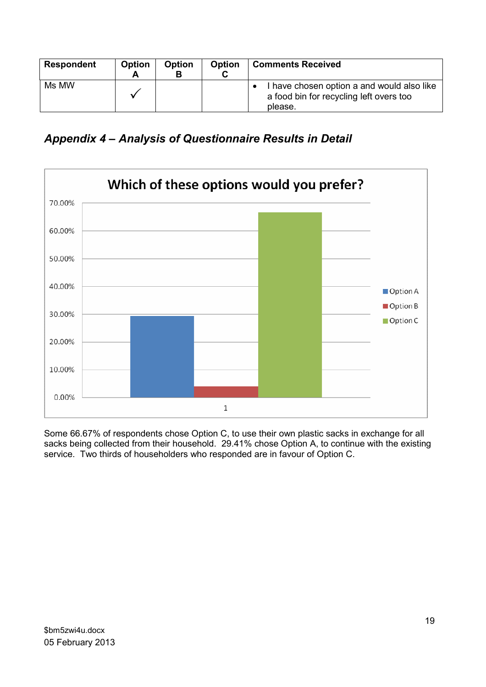| <b>Respondent</b> | <b>Option</b> | <b>Option</b> | <b>Option</b> | <b>Comments Received</b>                                                                         |
|-------------------|---------------|---------------|---------------|--------------------------------------------------------------------------------------------------|
| Ms MW             |               |               |               | I have chosen option a and would also like<br>a food bin for recycling left overs too<br>please. |

Appendix 4 – Analysis of Questionnaire Results in Detail



Some 66.67% of respondents chose Option C, to use their own plastic sacks in exchange for all sacks being collected from their household. 29.41% chose Option A, to continue with the existing service. Two thirds of householders who responded are in favour of Option C.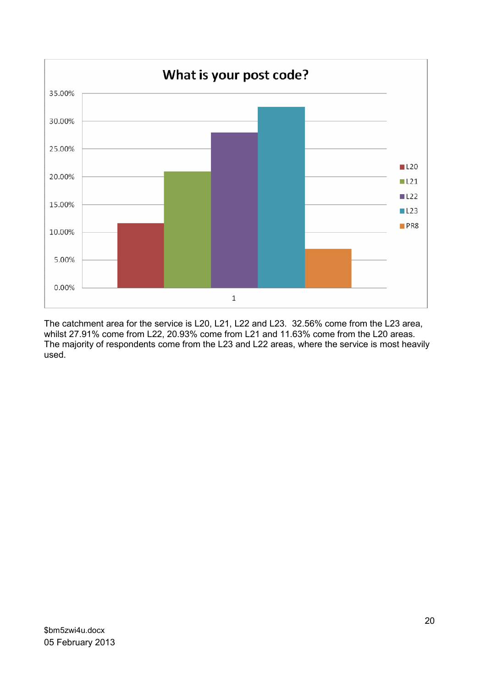

The catchment area for the service is L20, L21, L22 and L23. 32.56% come from the L23 area, whilst 27.91% come from L22, 20.93% come from L21 and 11.63% come from the L20 areas. The majority of respondents come from the L23 and L22 areas, where the service is most heavily used.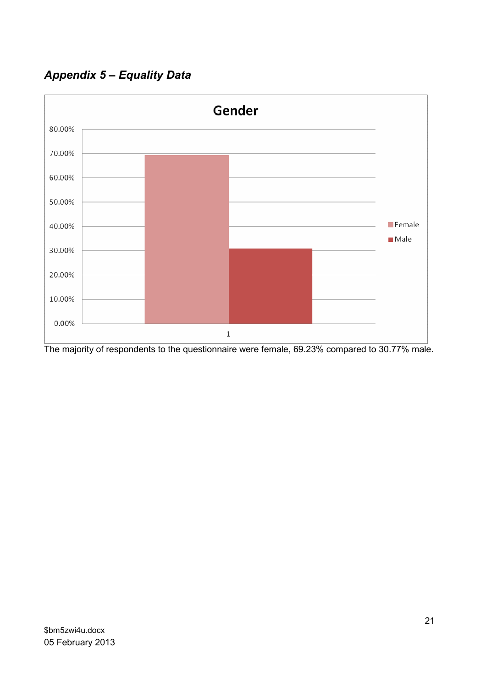Appendix 5 – Equality Data



The majority of respondents to the questionnaire were female, 69.23% compared to 30.77% male.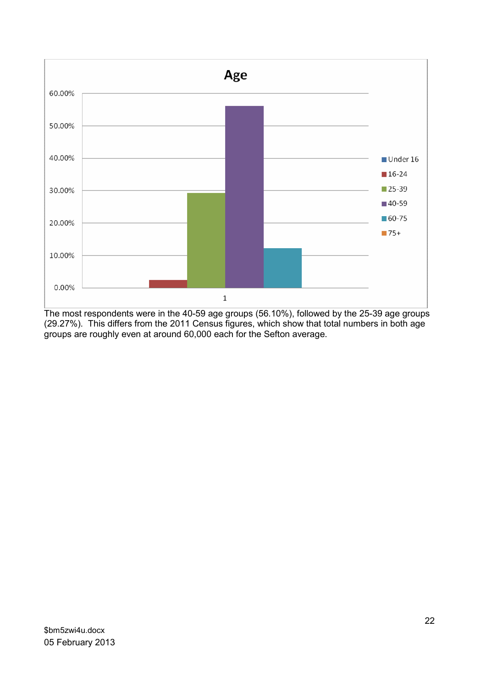

The most respondents were in the 40-59 age groups (56.10%), followed by the 25-39 age groups (29.27%). This differs from the 2011 Census figures, which show that total numbers in both age groups are roughly even at around 60,000 each for the Sefton average.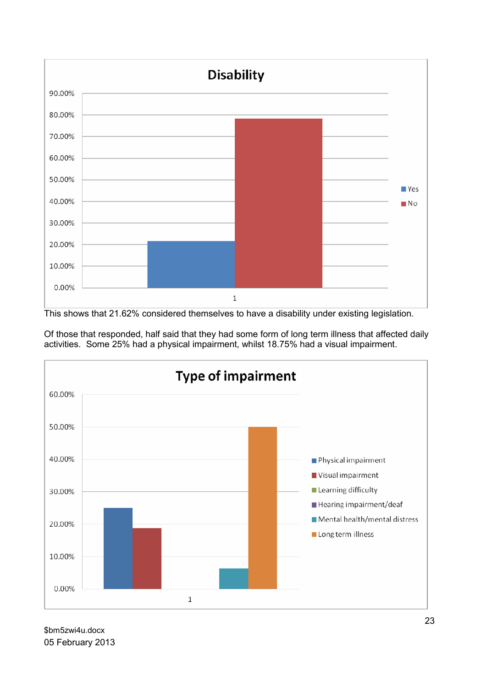

This shows that 21.62% considered themselves to have a disability under existing legislation.



Of those that responded, half said that they had some form of long term illness that affected daily activities. Some 25% had a physical impairment, whilst 18.75% had a visual impairment.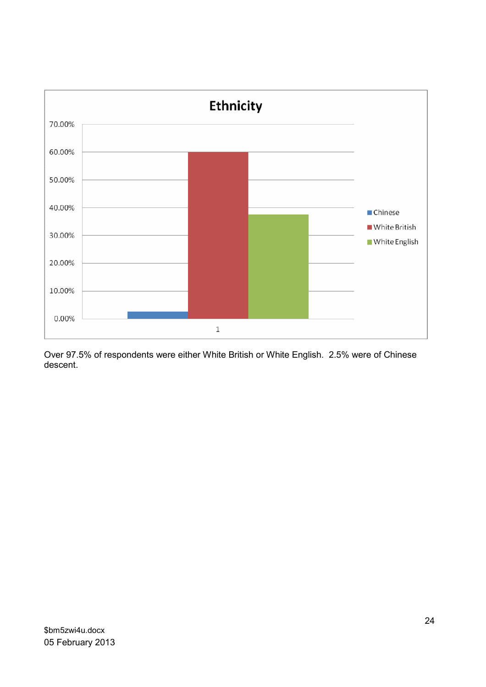

Over 97.5% of respondents were either White British or White English. 2.5% were of Chinese descent.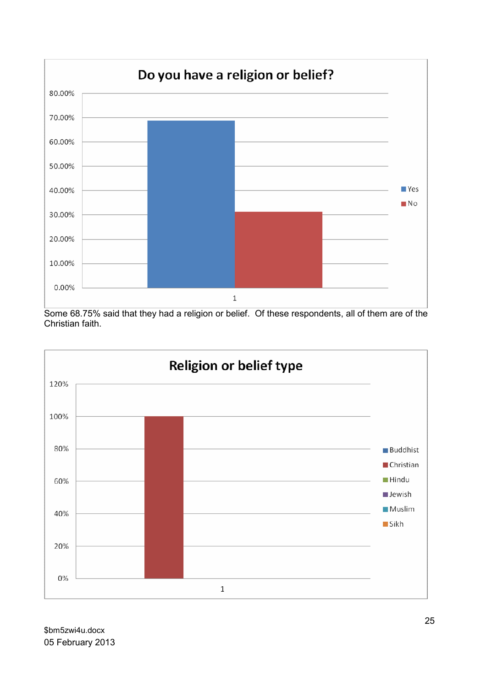

Some 68.75% said that they had a religion or belief. Of these respondents, all of them are of the Christian faith.

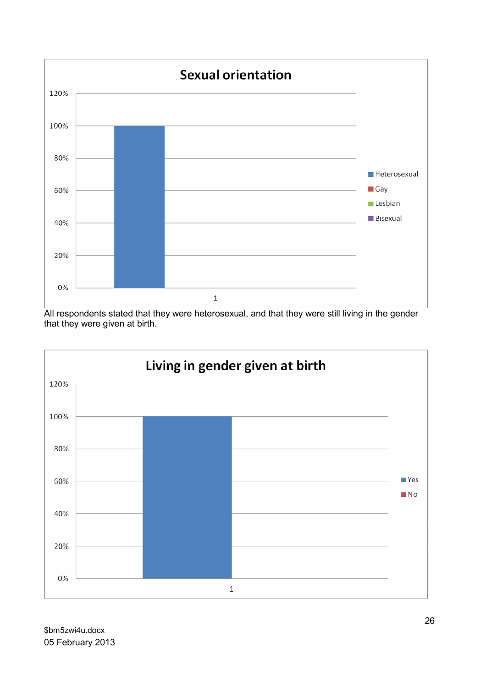

All respondents stated that they were heterosexual, and that they were still living in the gender that they were given at birth.

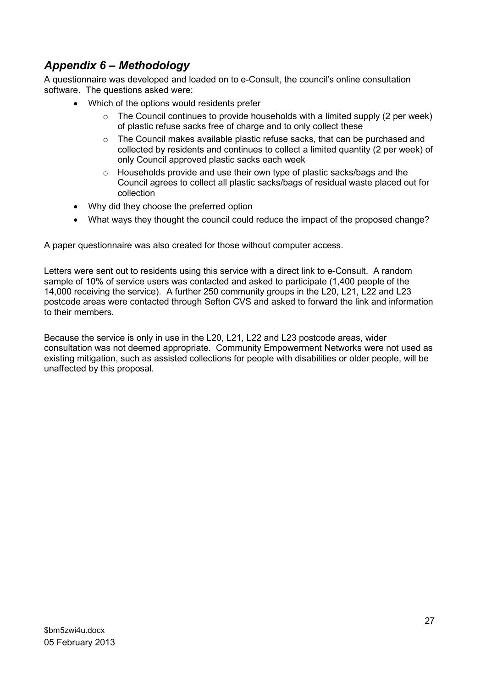### Appendix 6 – Methodology

A questionnaire was developed and loaded on to e-Consult, the council's online consultation software. The questions asked were:

- Which of the options would residents prefer
	- $\circ$  The Council continues to provide households with a limited supply (2 per week) of plastic refuse sacks free of charge and to only collect these
	- o The Council makes available plastic refuse sacks, that can be purchased and collected by residents and continues to collect a limited quantity (2 per week) of only Council approved plastic sacks each week
	- o Households provide and use their own type of plastic sacks/bags and the Council agrees to collect all plastic sacks/bags of residual waste placed out for collection
- Why did they choose the preferred option
- What ways they thought the council could reduce the impact of the proposed change?

A paper questionnaire was also created for those without computer access.

Letters were sent out to residents using this service with a direct link to e-Consult. A random sample of 10% of service users was contacted and asked to participate (1,400 people of the 14,000 receiving the service). A further 250 community groups in the L20, L21, L22 and L23 postcode areas were contacted through Sefton CVS and asked to forward the link and information to their members.

Because the service is only in use in the L20, L21, L22 and L23 postcode areas, wider consultation was not deemed appropriate. Community Empowerment Networks were not used as existing mitigation, such as assisted collections for people with disabilities or older people, will be unaffected by this proposal.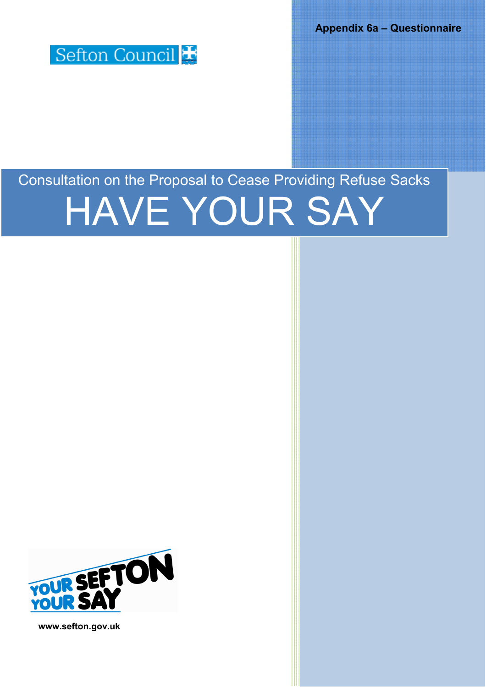Appendix 6a – Questionnaire



# Consultation on the Proposal to Cease Providing Refuse Sacks HAVE YOUR SAY



www.sefton.gov.uk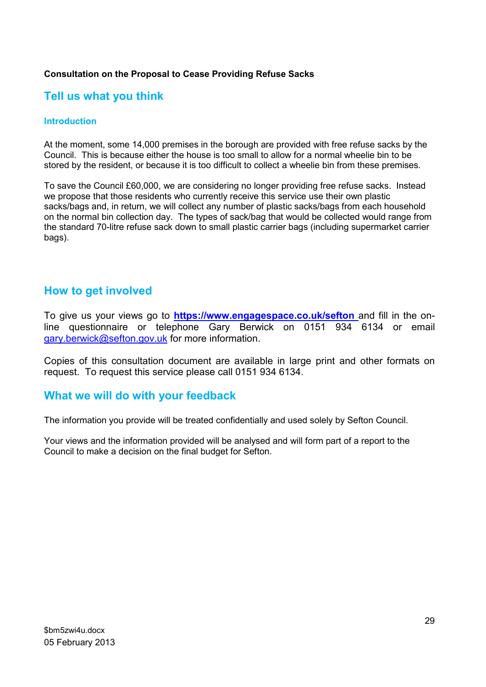### Consultation on the Proposal to Cease Providing Refuse Sacks

### Tell us what you think

#### Introduction

At the moment, some 14,000 premises in the borough are provided with free refuse sacks by the Council. This is because either the house is too small to allow for a normal wheelie bin to be stored by the resident, or because it is too difficult to collect a wheelie bin from these premises.

To save the Council £60,000, we are considering no longer providing free refuse sacks. Instead we propose that those residents who currently receive this service use their own plastic sacks/bags and, in return, we will collect any number of plastic sacks/bags from each household on the normal bin collection day. The types of sack/bag that would be collected would range from the standard 70-litre refuse sack down to small plastic carrier bags (including supermarket carrier bags).

### How to get involved

To give us your views go to **https://www.engagespace.co.uk/sefton** and fill in the online questionnaire or telephone Gary Berwick on 0151 934 6134 or email gary.berwick@sefton.gov.uk for more information.

Copies of this consultation document are available in large print and other formats on request. To request this service please call 0151 934 6134.

### What we will do with your feedback

The information you provide will be treated confidentially and used solely by Sefton Council.

Your views and the information provided will be analysed and will form part of a report to the Council to make a decision on the final budget for Sefton.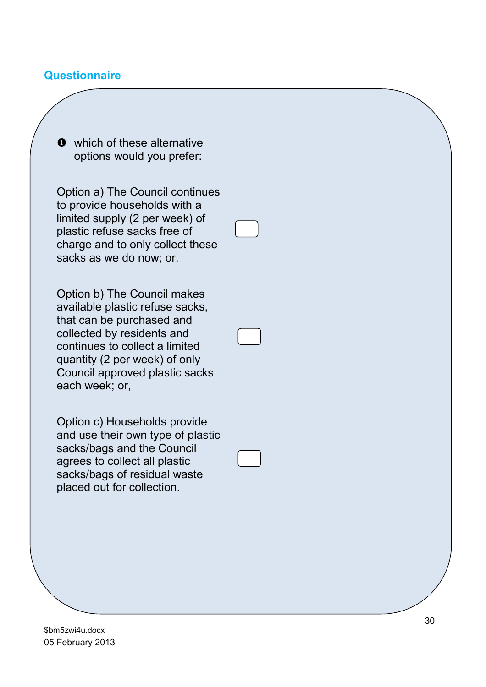### **Questionnaire**

 $\bullet$  which of these alternative options would you prefer:

Option a) The Council continues to provide households with a limited supply (2 per week) of plastic refuse sacks free of charge and to only collect these sacks as we do now; or,

Option b) The Council makes available plastic refuse sacks, that can be purchased and collected by residents and continues to collect a limited quantity (2 per week) of only Council approved plastic sacks each week; or,

Option c) Households provide and use their own type of plastic sacks/bags and the Council agrees to collect all plastic sacks/bags of residual waste placed out for collection.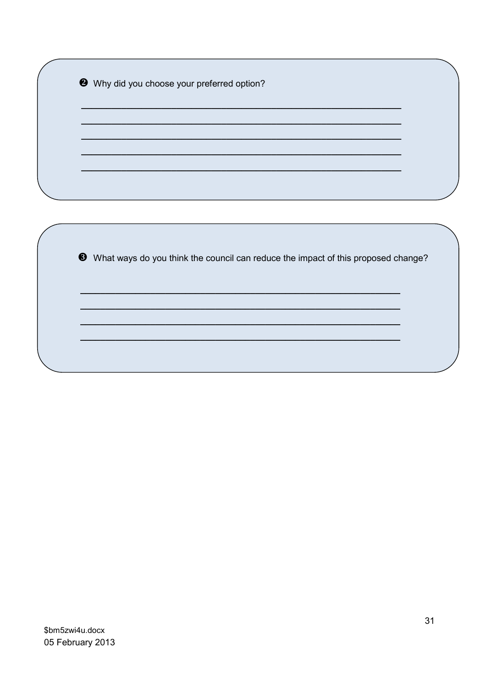|  |  | Why did you choose your preferred option? |  |  |  |
|--|--|-------------------------------------------|--|--|--|
|--|--|-------------------------------------------|--|--|--|

8 What ways do you think the council can reduce the impact of this proposed change?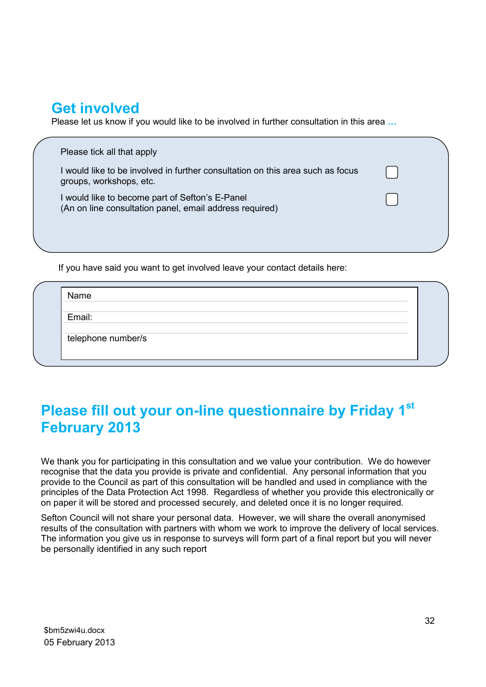# Get involved

Please let us know if you would like to be involved in further consultation in this area …

|  | Please tick all that apply                                                                                 |
|--|------------------------------------------------------------------------------------------------------------|
|  | I would like to be involved in further consultation on this area such as focus<br>groups, workshops, etc.  |
|  | I would like to become part of Sefton's E-Panel<br>(An on line consultation panel, email address required) |
|  |                                                                                                            |
|  |                                                                                                            |

If you have said you want to get involved leave your contact details here:

Email:

telephone number/s

# Please fill out your on-line questionnaire by Friday 1st February 2013

We thank you for participating in this consultation and we value your contribution. We do however recognise that the data you provide is private and confidential. Any personal information that you provide to the Council as part of this consultation will be handled and used in compliance with the principles of the Data Protection Act 1998. Regardless of whether you provide this electronically or on paper it will be stored and processed securely, and deleted once it is no longer required.

Sefton Council will not share your personal data. However, we will share the overall anonymised results of the consultation with partners with whom we work to improve the delivery of local services. The information you give us in response to surveys will form part of a final report but you will never be personally identified in any such report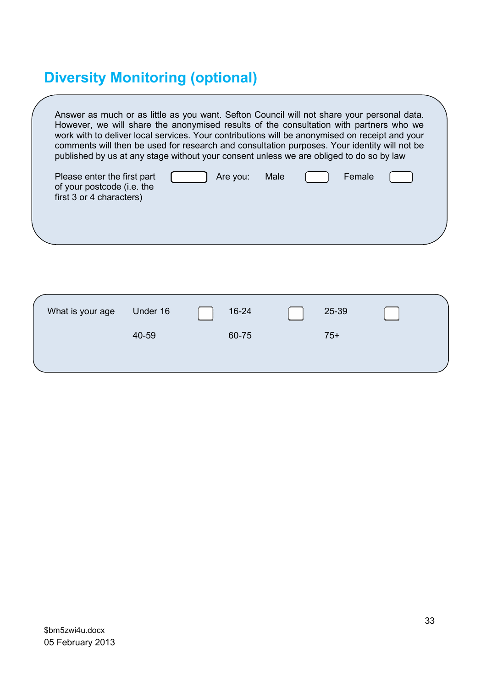# Diversity Monitoring (optional)

of your postcode (i.e. the first 3 or 4 characters)

| Answer as much or as little as you want. Sefton Council will not share your personal data.<br>However, we will share the anonymised results of the consultation with partners who we<br>work with to deliver local services. Your contributions will be anonymised on receipt and your<br>comments will then be used for research and consultation purposes. Your identity will not be<br>published by us at any stage without your consent unless we are obliged to do so by law |  |
|-----------------------------------------------------------------------------------------------------------------------------------------------------------------------------------------------------------------------------------------------------------------------------------------------------------------------------------------------------------------------------------------------------------------------------------------------------------------------------------|--|
| Please enter the first part<br>Male<br>Female<br>Are you:                                                                                                                                                                                                                                                                                                                                                                                                                         |  |

| What is your age | Under 16 | 16-24 | 25-39 |  |
|------------------|----------|-------|-------|--|
|                  | 40-59    | 60-75 | $75+$ |  |
|                  |          |       |       |  |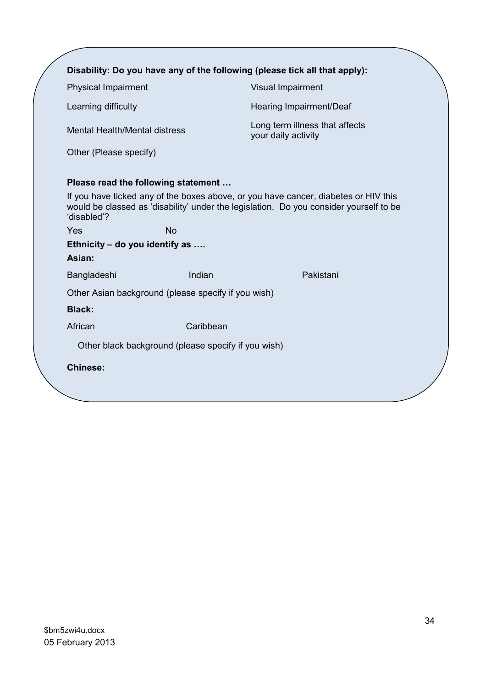|                                                     |                                                     | Disability: Do you have any of the following (please tick all that apply):                                                                                                    |
|-----------------------------------------------------|-----------------------------------------------------|-------------------------------------------------------------------------------------------------------------------------------------------------------------------------------|
| <b>Physical Impairment</b>                          |                                                     | Visual Impairment                                                                                                                                                             |
| Learning difficulty                                 |                                                     | Hearing Impairment/Deaf                                                                                                                                                       |
| Mental Health/Mental distress                       |                                                     | Long term illness that affects<br>your daily activity                                                                                                                         |
| Other (Please specify)                              |                                                     |                                                                                                                                                                               |
| Please read the following statement                 |                                                     |                                                                                                                                                                               |
| 'disabled'?                                         |                                                     | If you have ticked any of the boxes above, or you have cancer, diabetes or HIV this<br>would be classed as 'disability' under the legislation. Do you consider yourself to be |
| Yes                                                 | <b>No</b>                                           |                                                                                                                                                                               |
| Ethnicity – do you identify as                      |                                                     |                                                                                                                                                                               |
| Asian:                                              |                                                     |                                                                                                                                                                               |
| Bangladeshi                                         | Indian                                              | Pakistani                                                                                                                                                                     |
| Other Asian background (please specify if you wish) |                                                     |                                                                                                                                                                               |
| <b>Black:</b>                                       |                                                     |                                                                                                                                                                               |
| African                                             | Caribbean                                           |                                                                                                                                                                               |
|                                                     | Other black background (please specify if you wish) |                                                                                                                                                                               |
| <b>Chinese:</b>                                     |                                                     |                                                                                                                                                                               |
|                                                     |                                                     |                                                                                                                                                                               |
|                                                     |                                                     |                                                                                                                                                                               |